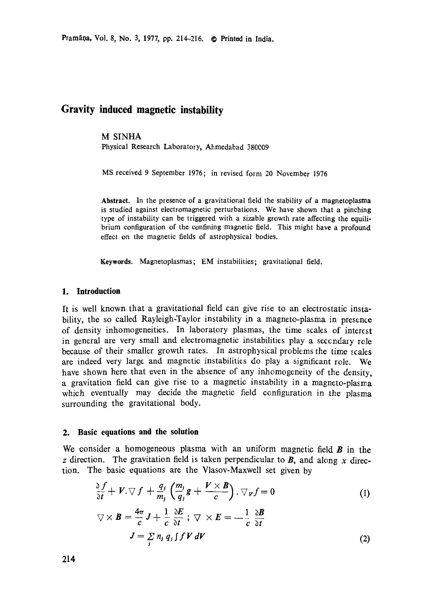Pram~0a, Vol. 8, No. 3, 1977, pp. 214-216. @ Printed **in India.** 

# **Gravity induced magnetic instability**

# M SINHA

Physical Research Laboratory, Ahmedabad 380C09

MS received 9 September 1976; in revised form 20 November 1976

**Abstract.** In the presence of a gravitational field the stability of a magnetoplasma is studied against electromagnetic perturbations. We have shown that a pinching type of instability can be triggered with a sizable growth rate affecting the equilibrium configuration of the confining magnetic field. This might have a profound effect on the magnetic fields of astrophysical bodies.

**Keywords.** Magnetoplasmas; EM instabilities; gravitational field.

## **1. Introduction**

It is well known that a gravitational field can give rise to an electrostatic instability, the so called Rayleigh-Taylor instability in a magneto-plasma in presence of density inhomogeneities. In laboratory plasmas, the time scales of interest in general are very small and electromagnetic instabilities play a secondary role because of their smaller growth rates, in astrophysical problems the time scales are indeed very large and magnetic instabilities do play a significant role. We have shown here that even in the absence of any inhomogeneity of the density, a gravitation field can give rise to a magnetic instability in a magneto-plasma which eventually may decide the magnetic field configuration in the plasma surrounding the gravitational body.

#### **2. Basic equations and the solution**

We consider a homogeneous plasma with an uniform magnetic field  $\boldsymbol{B}$  in the z direction. The gravitation field is taken perpendicular to  $B$ , and along x direction. The basic equations are the Vlasov-Maxwell set given by

$$
\frac{\partial f}{\partial t} + V \cdot \nabla f + \frac{q_j}{m_j} \left( \frac{m_j}{q_j} g + \frac{V \times B}{c} \right) \cdot \nabla_V f = 0
$$
\n
$$
\nabla \times B = \frac{4\pi}{c} J + \frac{1}{c} \frac{\partial E}{\partial t} ; \ \nabla \times E = -\frac{1}{c} \frac{\partial B}{\partial t}
$$
\n
$$
J = \sum_j n_j q_j \int f V dV
$$
\n(2)

214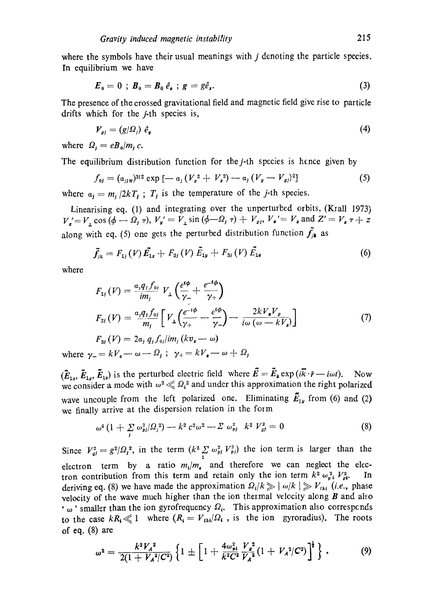where the symbols have their usual meanings with  $j$  denoting the particle species. In equilibrium we have

$$
E_0 = 0 \; ; \; B_0 = B_0 \; \hat{e}_s \; ; \; g = g \hat{e}_s. \tag{3}
$$

The presence of the crossed gravitational field and magnetic field give rise to particle drifts which for the *j*-th species is,

$$
V_{gj} = (g/\Omega_j) \hat{e}_y \tag{4}
$$

where  $\Omega_i = e B_0/m_i c$ .

The equilibrium distribution function for the  $j$ -th species is hence given by

$$
f_{0j} = (a_{j1\pi})^{3/2} \exp \left[ -a_j \left( V_x^2 + V_z^2 \right) - a_j \left( V_y - V_{\rho j} \right)^2 \right] \tag{5}
$$

where  $a_j = m_j/2kT_j$ ;  $T_j$  is the temperature of the *j*-th species.

Linearising eq. (1) and integrating over the unperturbed orbits, (Krall 1973)  $V_a' = V_1 \cos{(\phi - \Omega_i / \tau)}, V_a' = V_1 \sin{(\phi - \Omega_i / \tau)} + V_a$ ,  $V_a' = V_a \text{ and } Z' = V_a \tau + Z_a$ along with eq. (5) one gets the perturbed distribution function  $f_{jk}$  as

$$
\tilde{f}_{ik} = F_{1j}(V)\tilde{E}_{1x} + F_{2j}(V)\tilde{E}_{1y} + F_{3j}(V)\tilde{E}_{1z}
$$
\n(6)

where

$$
F_{1j}(V) = \frac{a_j q_j f_{0j}}{im_j} V_{\perp} \left( \frac{e^{i\phi}}{\gamma_{-}} + \frac{e^{-i\phi}}{\gamma_{+}} \right)
$$
  
\n
$$
F_{2j}(V) = \frac{a_j q_j f_{0j}}{m_j} \left[ V_{\perp} \left( \frac{e^{-i\phi}}{\gamma_{+}} - \frac{e^{i\phi}}{\gamma_{-}} \right) - \frac{2k V_{\bullet} V_{g}}{i\omega (\omega - kV_{z})} \right]
$$
  
\n
$$
F_{3j}(V) = 2a_j q_j f_{0j}/im_j (kv_{\bullet} - \omega)
$$
\n(7)

where  $\gamma = k V_z - \omega - \Omega_j$ ;  $\gamma_+ = k V_z - \omega + \Omega_j$ 

 $(\tilde{E}_{1x}, \tilde{E}_{1y}, \tilde{E}_{1z})$  is the perturbed electric field where  $\tilde{E} = \tilde{E}_k \exp(i\tilde{k}\cdot\tilde{r} - i\omega t)$ . Now we consider a mode with  $\omega^2 \ll \Omega_i^2$  and under this approximation the right polarized wave uncouple from the left polarized one. Eliminating  $\vec{E}_{1y}$  from (6) and (2) we finally arrive at the dispersion relation in the form

$$
\omega^4 \left(1 + \sum_j \omega_{pj}^2 / \Omega_j^2\right) - k^2 c^2 \omega^2 - \Sigma \omega_{pj}^2 \quad k^2 V_{gt}^2 = 0 \tag{8}
$$

Since  $V_{qi}^2 = g^2/\Omega_i^2$ , in the term  $(k^2 \Sigma \omega_{pj}^2 V_{pj}^2)$  the ion term is larger than the electron term by a ratio  $m_i/m_e$  and therefore we can neglect the electron contribution from this term and retain only the ion term  $k^2 \omega_{pi}^2 V_{pi}^2$ . In deriving eq. (8) we have made the approximation  $Q_i/k \gg |\omega/k| \gg V_{iki}$  (i.e., phase velocity of the wave much higher than the ion thermal velocity along  $B$  and also  $\cdot$   $\omega$  ' smaller than the ion gyrofrequency  $\Omega_i$ . This approximation also corresponds to the case  $kR_i \ll 1$  where  $(R_i = V_{th}/\Omega_i)$ , is the ion gyroradius). The roots of eq. (8) are

$$
\omega^2 = \frac{k^2 V_A^2}{2(1 + V_A^2/C^2)} \left\{ 1 \pm \left[ 1 + \frac{4 \omega_{pi}^2}{k^2 C^2} \frac{V_g^2}{V_A^2} (1 + V_A^2/C^2) \right]^{\frac{1}{2}} \right\} \,. \tag{9}
$$